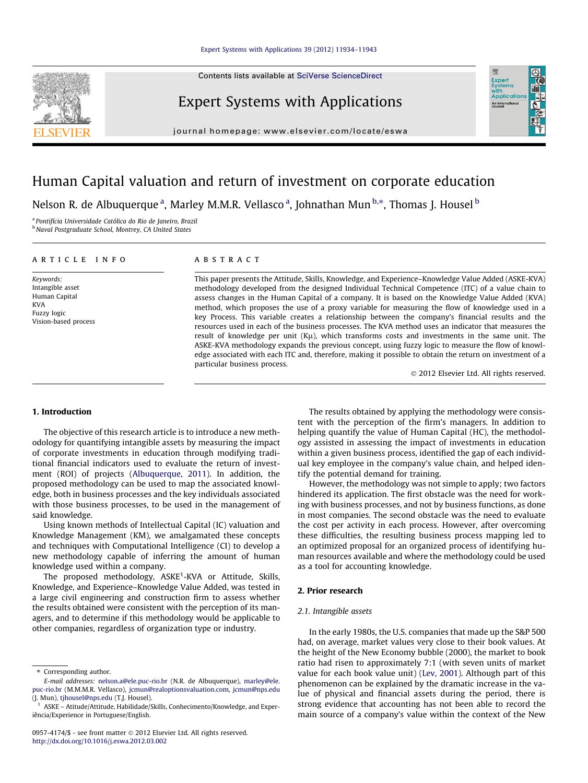Contents lists available at [SciVerse ScienceDirect](http://www.sciencedirect.com/science/journal/09574174)

### Expert Systems with Applications



## Human Capital valuation and return of investment on corporate education

Nelson R. de Albuquerque <sup>a</sup>, Marley M.M.R. Vellasco <sup>a</sup>, Johnathan Mun <sup>b,</sup>\*, Thomas J. Housel <sup>b</sup>

particular business process.

<sup>a</sup> Pontifícia Universidade Católica do Rio de Janeiro, Brazil <sup>b</sup> Naval Postgraduate School, Montrey, CA United States

| ARTICLE INFO         | A B S T R A C T                                                                                      |
|----------------------|------------------------------------------------------------------------------------------------------|
| Keywords:            | This paper presents the Attitude, Skills, Knowledge, and Experience–Knowledge Value Added (ASKE-KVA) |
| Intangible asset     | methodology developed from the designed Individual Technical Competence (ITC) of a value chain to    |
| Human Capital        | assess changes in the Human Capital of a company. It is based on the Knowledge Value Added (KVA)     |
| <b>KVA</b>           | method, which proposes the use of a proxy variable for measuring the flow of knowledge used in a     |
| Fuzzy logic          | key Process. This variable creates a relationship between the company's financial results and the    |
| Vision-based process | resources used in each of the business processes. The KVA method uses an indicator that measures the |

- 2012 Elsevier Ltd. All rights reserved.

#### 1. Introduction

The objective of this research article is to introduce a new methodology for quantifying intangible assets by measuring the impact of corporate investments in education through modifying traditional financial indicators used to evaluate the return of investment (ROI) of projects [\(Albuquerque, 2011](#page--1-0)). In addition, the proposed methodology can be used to map the associated knowledge, both in business processes and the key individuals associated with those business processes, to be used in the management of said knowledge.

Using known methods of Intellectual Capital (IC) valuation and Knowledge Management (KM), we amalgamated these concepts and techniques with Computational Intelligence (CI) to develop a new methodology capable of inferring the amount of human knowledge used within a company.

The proposed methodology, ASKE<sup>1</sup>-KVA or Attitude, Skills, Knowledge, and Experience–Knowledge Value Added, was tested in a large civil engineering and construction firm to assess whether the results obtained were consistent with the perception of its managers, and to determine if this methodology would be applicable to other companies, regardless of organization type or industry.

The results obtained by applying the methodology were consistent with the perception of the firm's managers. In addition to helping quantify the value of Human Capital (HC), the methodology assisted in assessing the impact of investments in education within a given business process, identified the gap of each individual key employee in the company's value chain, and helped identify the potential demand for training.

result of knowledge per unit  $(K\mu)$ , which transforms costs and investments in the same unit. The ASKE-KVA methodology expands the previous concept, using fuzzy logic to measure the flow of knowledge associated with each ITC and, therefore, making it possible to obtain the return on investment of a

> However, the methodology was not simple to apply; two factors hindered its application. The first obstacle was the need for working with business processes, and not by business functions, as done in most companies. The second obstacle was the need to evaluate the cost per activity in each process. However, after overcoming these difficulties, the resulting business process mapping led to an optimized proposal for an organized process of identifying human resources available and where the methodology could be used as a tool for accounting knowledge.

#### 2. Prior research

#### 2.1. Intangible assets

In the early 1980s, the U.S. companies that made up the S&P 500 had, on average, market values very close to their book values. At the height of the New Economy bubble (2000), the market to book ratio had risen to approximately 7:1 (with seven units of market value for each book value unit) ([Lev, 2001](#page--1-0)). Although part of this phenomenon can be explained by the dramatic increase in the value of physical and financial assets during the period, there is strong evidence that accounting has not been able to record the main source of a company's value within the context of the New



<sup>\*</sup> Corresponding author.

E-mail addresses: [nelson.a@ele.puc-rio.br](mailto:nelson.a@ele.puc-rio.br) (N.R. de Albuquerque), [marley@ele.](mailto:marley@ele. puc-rio.br) [puc-rio.br](mailto:marley@ele. puc-rio.br) (M.M.M.R. Vellasco), [jcmun@realoptionsvaluation.com,](mailto:jcmun@realoptionsvaluation.com) [jcmun@nps.edu](mailto:jcmun@nps.edu) (J. Mun), [tjhousel@nps.edu](mailto:tjhousel@nps.edu) (T.J. Housel).

<sup>1</sup> ASKE – Atitude/Attitude, Habilidade/Skills, Conhecimento/Knowledge, and Experiência/Experience in Portuguese/English.

<sup>0957-4174/\$ -</sup> see front matter © 2012 Elsevier Ltd. All rights reserved. <http://dx.doi.org/10.1016/j.eswa.2012.03.002>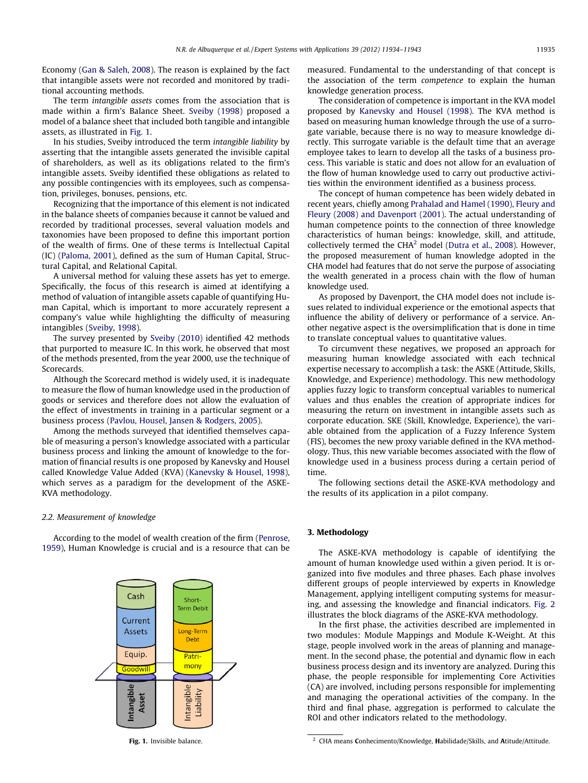Economy [\(Gan & Saleh, 2008\)](#page--1-0). The reason is explained by the fact that intangible assets were not recorded and monitored by traditional accounting methods.

The term intangible assets comes from the association that is made within a firm's Balance Sheet. [Sveiby \(1998\)](#page--1-0) proposed a model of a balance sheet that included both tangible and intangible assets, as illustrated in Fig. 1.

In his studies, Sveiby introduced the term intangible liability by asserting that the intangible assets generated the invisible capital of shareholders, as well as its obligations related to the firm's intangible assets. Sveiby identified these obligations as related to any possible contingencies with its employees, such as compensation, privileges, bonuses, pensions, etc.

Recognizing that the importance of this element is not indicated in the balance sheets of companies because it cannot be valued and recorded by traditional processes, several valuation models and taxonomies have been proposed to define this important portion of the wealth of firms. One of these terms is Intellectual Capital (IC) [\(Paloma, 2001\)](#page--1-0), defined as the sum of Human Capital, Structural Capital, and Relational Capital.

A universal method for valuing these assets has yet to emerge. Specifically, the focus of this research is aimed at identifying a method of valuation of intangible assets capable of quantifying Human Capital, which is important to more accurately represent a company's value while highlighting the difficulty of measuring intangibles ([Sveiby, 1998](#page--1-0)).

The survey presented by [Sveiby \(2010\)](#page--1-0) identified 42 methods that purported to measure IC. In this work, he observed that most of the methods presented, from the year 2000, use the technique of Scorecards.

Although the Scorecard method is widely used, it is inadequate to measure the flow of human knowledge used in the production of goods or services and therefore does not allow the evaluation of the effect of investments in training in a particular segment or a business process [\(Pavlou, Housel, Jansen & Rodgers, 2005\)](#page--1-0).

Among the methods surveyed that identified themselves capable of measuring a person's knowledge associated with a particular business process and linking the amount of knowledge to the formation of financial results is one proposed by Kanevsky and Housel called Knowledge Value Added (KVA) ([Kanevsky & Housel, 1998\)](#page--1-0), which serves as a paradigm for the development of the ASKE-KVA methodology.

#### 2.2. Measurement of knowledge

According to the model of wealth creation of the firm [\(Penrose,](#page--1-0) [1959\)](#page--1-0), Human Knowledge is crucial and is a resource that can be



measured. Fundamental to the understanding of that concept is the association of the term competence to explain the human knowledge generation process.

The consideration of competence is important in the KVA model proposed by [Kanevsky and Housel \(1998\)](#page--1-0). The KVA method is based on measuring human knowledge through the use of a surrogate variable, because there is no way to measure knowledge directly. This surrogate variable is the default time that an average employee takes to learn to develop all the tasks of a business process. This variable is static and does not allow for an evaluation of the flow of human knowledge used to carry out productive activities within the environment identified as a business process.

The concept of human competence has been widely debated in recent years, chiefly among [Prahalad and Hamel \(1990\), Fleury and](#page--1-0) [Fleury \(2008\) and Davenport \(2001\)](#page--1-0). The actual understanding of human competence points to the connection of three knowledge characteristics of human beings: knowledge, skill, and attitude, collectively termed the CHA<sup>2</sup> model ([Dutra et al., 2008\)](#page--1-0). However, the proposed measurement of human knowledge adopted in the CHA model had features that do not serve the purpose of associating the wealth generated in a process chain with the flow of human knowledge used.

As proposed by Davenport, the CHA model does not include issues related to individual experience or the emotional aspects that influence the ability of delivery or performance of a service. Another negative aspect is the oversimplification that is done in time to translate conceptual values to quantitative values.

To circumvent these negatives, we proposed an approach for measuring human knowledge associated with each technical expertise necessary to accomplish a task: the ASKE (Attitude, Skills, Knowledge, and Experience) methodology. This new methodology applies fuzzy logic to transform conceptual variables to numerical values and thus enables the creation of appropriate indices for measuring the return on investment in intangible assets such as corporate education. SKE (Skill, Knowledge, Experience), the variable obtained from the application of a Fuzzy Inference System (FIS), becomes the new proxy variable defined in the KVA methodology. Thus, this new variable becomes associated with the flow of knowledge used in a business process during a certain period of time.

The following sections detail the ASKE-KVA methodology and the results of its application in a pilot company.

#### 3. Methodology

The ASKE-KVA methodology is capable of identifying the amount of human knowledge used within a given period. It is organized into five modules and three phases. Each phase involves different groups of people interviewed by experts in Knowledge Management, applying intelligent computing systems for measuring, and assessing the knowledge and financial indicators. [Fig. 2](#page--1-0) illustrates the block diagrams of the ASKE-KVA methodology.

In the first phase, the activities described are implemented in two modules: Module Mappings and Module K-Weight. At this stage, people involved work in the areas of planning and management. In the second phase, the potential and dynamic flow in each business process design and its inventory are analyzed. During this phase, the people responsible for implementing Core Activities (CA) are involved, including persons responsible for implementing and managing the operational activities of the company. In the third and final phase, aggregation is performed to calculate the ROI and other indicators related to the methodology.

Fig. 1. Invisible balance. 2 CHA means Conhecimento/Knowledge, Habilidade/Skills, and Atitude/Attitude.